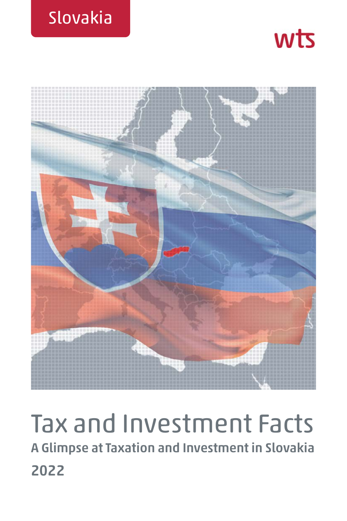





# Tax and Investment Facts **A Glimpse at Taxation and Investment in Slovakia 2022**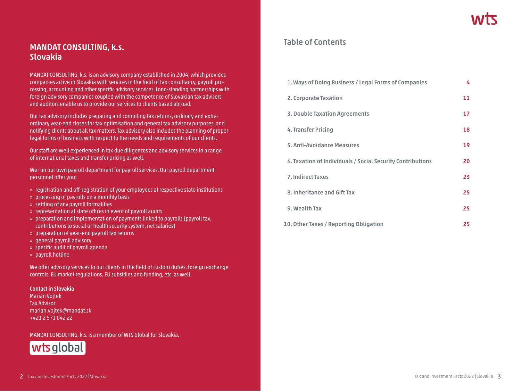# **MANDAT CONSULTING, k.s. Slovakia**

MANDAT CONSULTING, k.s. is an advisory company established in 2004, which provides companies active in Slovakia with services in the field of tax consultancy, payroll processing, accounting and other specific advisory services. Long-standing partnerships with foreign advisory companies coupled with the competence of Slovakian tax advisers and auditors enable us to provide our services to clients based abroad.

Our tax advisory includes preparing and compiling tax returns, ordinary and extraordinary year-end closes for tax optimisation and general tax advisory purposes, and notifying clients about all tax matters. Tax advisory also includes the planning of proper legal forms of business with respect to the needs and requirements of our clients.

Our staff are well experienced in tax due diligences and advisory services in a range of international taxes and transfer pricing as well.

We run our own payroll department for payroll services. Our payroll department personnel offer you:

- » registration and off-registration of your employees at respective state institutions
- » processing of payrolls on a monthly basis
- » settling of any payroll formalities
- » representation at state offices in event of payroll audits
- » preparation and implementation of payments linked to payrolls (payroll tax, contributions to social or health security system, net salaries)
- » preparation of year-end payroll tax returns
- » general payroll advisory
- » specific audit of payroll agenda
- » payroll hotline

We offer advisory services to our clients in the field of custom duties, foreign exchange controls, EU market regulations, EU subsidies and funding, etc. as well.

#### **Contact in Slovakia**

Marian Vojtek Tax Advisor marian.vojtek@mandat.sk +421 2 571 042 22

MANDAT CONSULTING, k.s. is a member of WTS Global for Slovakia.



# **Table of Contents**

| 1. Ways of Doing Business / Legal Forms of Companies       | 4  |
|------------------------------------------------------------|----|
| 2. Corporate Taxation                                      | 11 |
| <b>3. Double Taxation Agreements</b>                       | 17 |
| 4. Transfer Pricing                                        | 18 |
| 5. Anti-Avoidance Measures                                 | 19 |
| 6. Taxation of Individuals / Social Security Contributions | 20 |
| <b>7. Indirect Taxes</b>                                   | 23 |
| 8. Inheritance and Gift Tax                                | 25 |
| 9. Wealth Tax                                              | 25 |
| 10. Other Taxes / Reporting Obligation                     | 25 |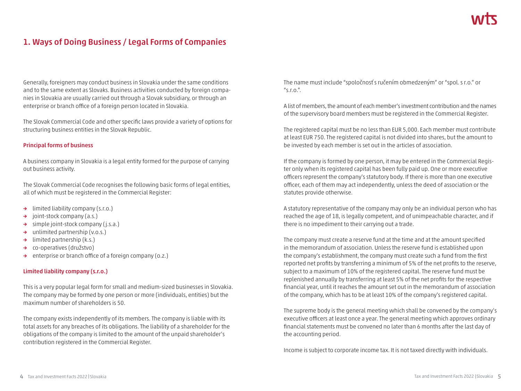# **1. Ways of Doing Business / Legal Forms of Companies**

Generally, foreigners may conduct business in Slovakia under the same conditions and to the same extent as Slovaks. Business activities conducted by foreign companies in Slovakia are usually carried out through a Slovak subsidiary, or through an enterprise or branch office of a foreign person located in Slovakia.

The Slovak Commercial Code and other specific laws provide a variety of options for structuring business entities in the Slovak Republic.

#### **Principal forms of business**

A business company in Slovakia is a legal entity formed for the purpose of carrying out business activity.

The Slovak Commercial Code recognises the following basic forms of legal entities, all of which must be registered in the Commercial Register:

- **→** limited liability company (s.r.o.)
- **→** joint-stock company (a.s.)
- **→** simple joint-stock company (j.s.a.)
- **→** unlimited partnership (v.o.s.)
- **→** limited partnership (k.s.)
- **→** co-operatives (družstvo)
- **→** enterprise or branch office of a foreign company (o.z.)

#### **Limited liability company (s.r.o.)**

This is a very popular legal form for small and medium-sized businesses in Slovakia. The company may be formed by one person or more (individuals, entities) but the maximum number of shareholders is 50.

The company exists independently of its members. The company is liable with its total assets for any breaches of its obligations. The liability of a shareholder for the obligations of the company is limited to the amount of the unpaid shareholder's contribution registered in the Commercial Register.

The name must include "spoločnosť s ručením obmedzeným" or "spol. s r.o." or  $^{\prime\prime}$ s.r.o.".

A list of members, the amount of each member's investment contribution and the names of the supervisory board members must be registered in the Commercial Register.

The registered capital must be no less than EUR 5,000. Each member must contribute at least EUR 750. The registered capital is not divided into shares, but the amount to be invested by each member is set out in the articles of association.

If the company is formed by one person, it may be entered in the Commercial Register only when its registered capital has been fully paid up. One or more executive officers represent the company's statutory body. If there is more than one executive officer, each of them may act independently, unless the deed of association or the statutes provide otherwise.

A statutory representative of the company may only be an individual person who has reached the age of 18, is legally competent, and of unimpeachable character, and if there is no impediment to their carrying out a trade.

The company must create a reserve fund at the time and at the amount specified in the memorandum of association. Unless the reserve fund is established upon the company's establishment, the company must create such a fund from the first reported net profits by transferring a minimum of 5% of the net profits to the reserve, subject to a maximum of 10% of the registered capital. The reserve fund must be replenished annually by transferring at least 5% of the net profits for the respective financial year, until it reaches the amount set out in the memorandum of association of the company, which has to be at least 10% of the company's registered capital.

The supreme body is the general meeting which shall be convened by the company's executive officers at least once a year. The general meeting which approves ordinary financial statements must be convened no later than 6 months after the last day of the accounting period.

Income is subject to corporate income tax. It is not taxed directly with individuals.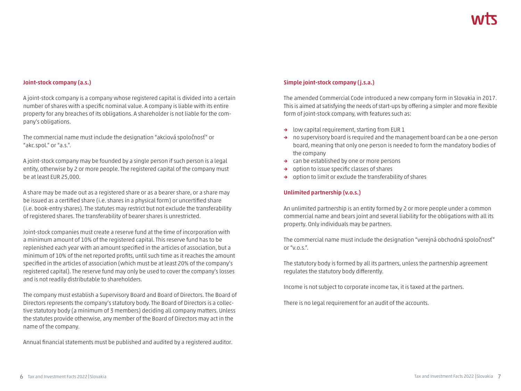#### **Joint-stock company (a.s.)**

A joint-stock company is a company whose registered capital is divided into a certain number of shares with a specific nominal value. A company is liable with its entire property for any breaches of its obligations. A shareholder is not liable for the company's obligations.

The commercial name must include the designation "akciová spoločnosť" or "akc.spol." or "a.s.".

A joint-stock company may be founded by a single person if such person is a legal entity, otherwise by 2 or more people. The registered capital of the company must be at least EUR 25,000.

A share may be made out as a registered share or as a bearer share, or a share may be issued as a certified share (i.e. shares in a physical form) or uncertified share (i.e. book-entry shares). The statutes may restrict but not exclude the transferability of registered shares. The transferability of bearer shares is unrestricted.

Joint-stock companies must create a reserve fund at the time of incorporation with a minimum amount of 10% of the registered capital. This reserve fund has to be replenished each year with an amount specified in the articles of association, but a minimum of 10% of the net reported profits, until such time as it reaches the amount specified in the articles of association (which must be at least 20% of the company's registered capital). The reserve fund may only be used to cover the company's losses and is not readily distributable to shareholders.

The company must establish a Supervisory Board and Board of Directors. The Board of Directors represents the company's statutory body. The Board of Directors is a collective statutory body (a minimum of 3 members) deciding all company matters. Unless the statutes provide otherwise, any member of the Board of Directors may act in the name of the company.

Annual financial statements must be published and audited by a registered auditor.

## **Simple joint-stock company (j.s.a.)**

The amended Commercial Code introduced a new company form in Slovakia in 2017. This is aimed at satisfying the needs of start-ups by offering a simpler and more flexible form of joint-stock company, with features such as:

- **→** low capital requirement, starting from EUR 1
- **→** no supervisory board is required and the management board can be a one-person board, meaning that only one person is needed to form the mandatory bodies of the company
- **→** can be established by one or more persons
- **→** option to issue specific classes of shares
- **→** option to limit or exclude the transferability of shares

#### **Unlimited partnership (v.o.s.)**

An unlimited partnership is an entity formed by 2 or more people under a common commercial name and bears joint and several liability for the obligations with all its property. Only individuals may be partners.

The commercial name must include the designation "verejná obchodná spoločnosť" or "v $o \leq$ "

The statutory body is formed by all its partners, unless the partnership agreement regulates the statutory body differently.

Income is not subject to corporate income tax, it is taxed at the partners.

There is no legal requirement for an audit of the accounts.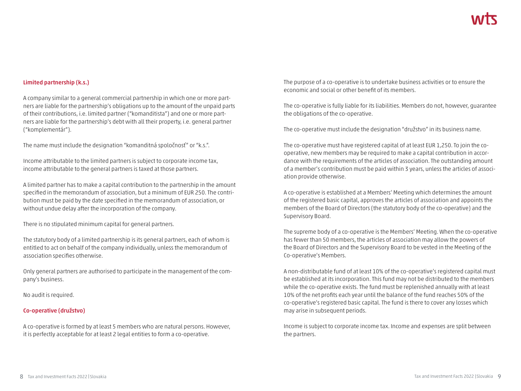#### **Limited partnership (k.s.)**

A company similar to a general commercial partnership in which one or more partners are liable for the partnership's obligations up to the amount of the unpaid parts of their contributions, i.e. limited partner ("komanditista") and one or more partners are liable for the partnership's debt with all their property, i.e. general partner ("komplementár").

The name must include the designation "komanditná spoločnosť" or "k.s.".

Income attributable to the limited partners is subject to corporate income tax, income attributable to the general partners is taxed at those partners.

A limited partner has to make a capital contribution to the partnership in the amount specified in the memorandum of association, but a minimum of EUR 250. The contribution must be paid by the date specified in the memorandum of association, or without undue delay after the incorporation of the company.

There is no stipulated minimum capital for general partners.

The statutory body of a limited partnership is its general partners, each of whom is entitled to act on behalf of the company individually, unless the memorandum of association specifies otherwise.

Only general partners are authorised to participate in the management of the company's business.

No audit is required.

#### **Co-operative (družstvo)**

A co-operative is formed by at least 5 members who are natural persons. However, it is perfectly acceptable for at least 2 legal entities to form a co-operative.

The purpose of a co-operative is to undertake business activities or to ensure the economic and social or other benefit of its members.

The co-operative is fully liable for its liabilities. Members do not, however, guarantee the obligations of the co-operative.

The co-operative must include the designation "družstvo" in its business name.

The co-operative must have registered capital of at least EUR 1,250. To join the cooperative, new members may be required to make a capital contribution in accordance with the requirements of the articles of association. The outstanding amount of a member's contribution must be paid within 3 years, unless the articles of association provide otherwise.

A co-operative is established at a Members' Meeting which determines the amount of the registered basic capital, approves the articles of association and appoints the members of the Board of Directors (the statutory body of the co-operative) and the Supervisory Board.

The supreme body of a co-operative is the Members' Meeting. When the co-operative has fewer than 50 members, the articles of association may allow the powers of the Board of Directors and the Supervisory Board to be vested in the Meeting of the Co-operative's Members.

A non-distributable fund of at least 10% of the co-operative's registered capital must be established at its incorporation. This fund may not be distributed to the members while the co-operative exists. The fund must be replenished annually with at least 10% of the net profits each year until the balance of the fund reaches 50% of the co-operative's registered basic capital. The fund is there to cover any losses which may arise in subsequent periods.

Income is subject to corporate income tax. Income and expenses are split between the partners.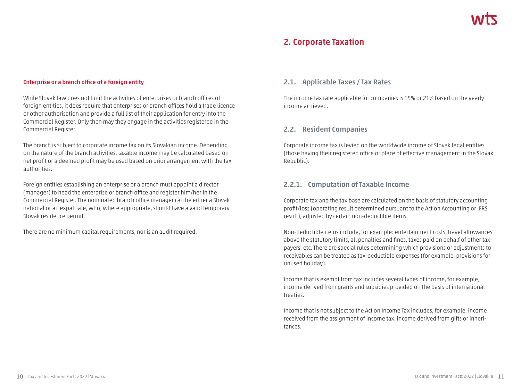# **2. Corporate Taxation**

#### **Enterprise or a branch office of a foreign entity**

While Slovak law does not limit the activities of enterprises or branch offices of foreign entities, it does require that enterprises or branch offices hold a trade licence or other authorisation and provide a full list of their application for entry into the Commercial Register. Only then may they engage in the activities registered in the Commercial Register.

The branch is subject to corporate income tax on its Slovakian income. Depending on the nature of the branch activities, taxable income may be calculated based on net profit or a deemed profit may be used based on prior arrangement with the tax authorities.

Foreign entities establishing an enterprise or a branch must appoint a director (manager) to head the enterprise or branch office and register him/her in the Commercial Register. The nominated branch office manager can be either a Slovak national or an expatriate, who, where appropriate, should have a valid temporary Slovak residence permit.

There are no minimum capital requirements, nor is an audit required.

#### **2.1. Applicable Taxes / Tax Rates**

The income tax rate applicable for companies is 15% or 21% based on the yearly income achieved.

#### **2.2. Resident Companies**

Corporate income tax is levied on the worldwide income of Slovak legal entities (those having their registered office or place of effective management in the Slovak Republic).

#### **2.2.1. Computation of Taxable Income**

Corporate tax and the tax base are calculated on the basis of statutory accounting profit/loss (operating result determined pursuant to the Act on Accounting or IFRS result), adjusted by certain non-deductible items.

Non-deductible items include, for example: entertainment costs, travel allowances above the statutory limits, all penalties and fines, taxes paid on behalf of other taxpayers, etc. There are special rules determining which provisions or adjustments to receivables can be treated as tax-deductible expenses (for example, provisions for unused holiday).

Income that is exempt from tax includes several types of income, for example, income derived from grants and subsidies provided on the basis of international treaties.

Income that is not subject to the Act on Income Tax includes, for example, income received from the assignment of income tax, income derived from gifts or inheritances.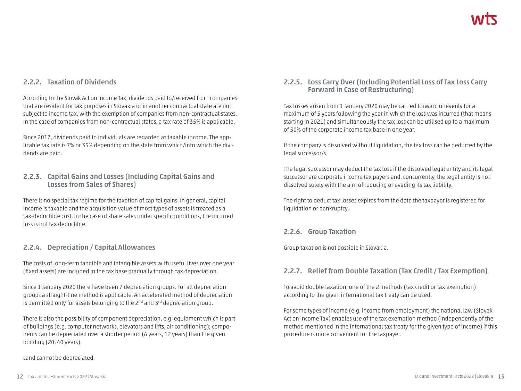# **2.2.2. Taxation of Dividends**

According to the Slovak Act on Income Tax, dividends paid to/received from companies that are resident for tax purposes in Slovakia or in another contractual state are not subject to income tax, with the exemption of companies from non-contractual states. In the case of companies from non-contractual states, a tax rate of 35% is applicable.

Since 2017, dividends paid to individuals are regarded as taxable income. The applicable tax rate is 7% or 35% depending on the state from which/into which the dividends are paid.

## **2.2.3. Capital Gains and Losses (Including Capital Gains and Losses from Sales of Shares)**

There is no special tax regime for the taxation of capital gains. In general, capital income is taxable and the acquisition value of most types of assets is treated as a tax-deductible cost. In the case of share sales under specific conditions, the incurred loss is not tax deductible.

# **2.2.4. Depreciation / Capital Allowances**

The costs of long-term tangible and intangible assets with useful lives over one year (fixed assets) are included in the tax base gradually through tax depreciation.

Since 1 January 2020 there have been 7 depreciation groups. For all depreciation groups a straight-line method is applicable. An accelerated method of depreciation is permitted only for assets belonging to the  $2^{nd}$  and  $3^{rd}$  depreciation group.

There is also the possibility of component depreciation, e.g. equipment which is part of buildings (e.g. computer networks, elevators and lifts, air conditioning); components can be depreciated over a shorter period (6 years, 12 years) than the given building (20, 40 years).

#### Land cannot be depreciated.

## **2.2.5. Loss Carry Over (Including Potential Loss of Tax Loss Carry Forward in Case of Restructuring)**

Tax losses arisen from 1 January 2020 may be carried forward unevenly for a maximum of 5 years following the year in which the loss was incurred (that means starting in 2021) and simultaneously the tax loss can be utilised up to a maximum of 50% of the corporate income tax base in one year.

If the company is dissolved without liquidation, the tax loss can be deducted by the legal successor/s.

The legal successor may deduct the tax loss if the dissolved legal entity and its legal successor are corporate income tax payers and, concurrently, the legal entity is not dissolved solely with the aim of reducing or evading its tax liability.

The right to deduct tax losses expires from the date the taxpayer is registered for liquidation or bankruptcy.

## **2.2.6. Group Taxation**

Group taxation is not possible in Slovakia.

# **2.2.7. Relief from Double Taxation (Tax Credit / Tax Exemption)**

To avoid double taxation, one of the 2 methods (tax credit or tax exemption) according to the given international tax treaty can be used.

For some types of income (e.g. income from employment) the national law (Slovak Act on Income Tax) enables use of the tax exemption method (independently of the method mentioned in the international tax treaty for the given type of income) if this procedure is more convenient for the taxpayer.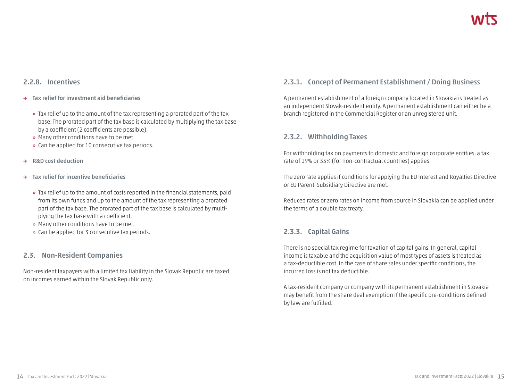## **2.2.8. Incentives**

- **→ Tax relief for investment aid beneficiaries**
	- **»** Tax relief up to the amount of the tax representing a prorated part of the tax base. The prorated part of the tax base is calculated by multiplying the tax base by a coefficient (2 coefficients are possible).
	- **»** Many other conditions have to be met.
	- **»** Can be applied for 10 consecutive tax periods.
- **→ R&D cost deduction**
- **→ Tax relief for incentive beneficiaries**
	- **»** Tax relief up to the amount of costs reported in the financial statements, paid from its own funds and up to the amount of the tax representing a prorated part of the tax base. The prorated part of the tax base is calculated by multiplying the tax base with a coefficient.
	- **»** Many other conditions have to be met.
	- **»** Can be applied for 3 consecutive tax periods.

## **2.3. Non-Resident Companies**

Non-resident taxpayers with a limited tax liability in the Slovak Republic are taxed on incomes earned within the Slovak Republic only.

# **2.3.1. Concept of Permanent Establishment / Doing Business**

A permanent establishment of a foreign company located in Slovakia is treated as an independent Slovak-resident entity. A permanent establishment can either be a branch registered in the Commercial Register or an unregistered unit.

## **2.3.2. Withholding Taxes**

For withholding tax on payments to domestic and foreign corporate entities, a tax rate of 19% or 35% (for non-contractual countries) applies.

The zero rate applies if conditions for applying the EU Interest and Royalties Directive or EU Parent–Subsidiary Directive are met.

Reduced rates or zero rates on income from source in Slovakia can be applied under the terms of a double tax treaty.

# **2.3.3. Capital Gains**

There is no special tax regime for taxation of capital gains. In general, capital income is taxable and the acquisition value of most types of assets is treated as a tax-deductible cost. In the case of share sales under specific conditions, the incurred loss is not tax deductible.

A tax-resident company or company with its permanent establishment in Slovakia may benefit from the share deal exemption if the specific pre-conditions defined by law are fulfilled.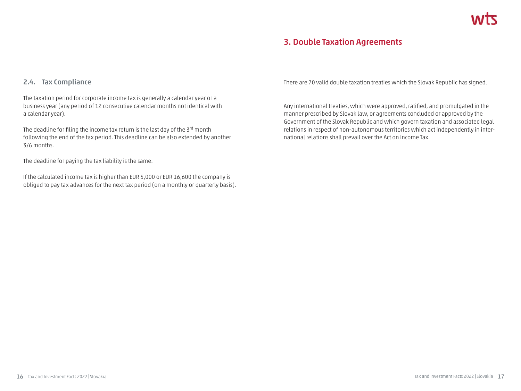# **3. Double Taxation Agreements**

## **2.4. Tax Compliance**

The taxation period for corporate income tax is generally a calendar year or a business year (any period of 12 consecutive calendar months not identical with a calendar year).

The deadline for filing the income tax return is the last day of the 3<sup>rd</sup> month following the end of the tax period. This deadline can be also extended by another 3/6 months.

The deadline for paying the tax liability is the same.

If the calculated income tax is higher than EUR 5,000 or EUR 16,600 the company is obliged to pay tax advances for the next tax period (on a monthly or quarterly basis). There are 70 valid double taxation treaties which the Slovak Republic has signed.

Any international treaties, which were approved, ratified, and promulgated in the manner prescribed by Slovak law, or agreements concluded or approved by the Government of the Slovak Republic and which govern taxation and associated legal relations in respect of non-autonomous territories which act independently in international relations shall prevail over the Act on Income Tax.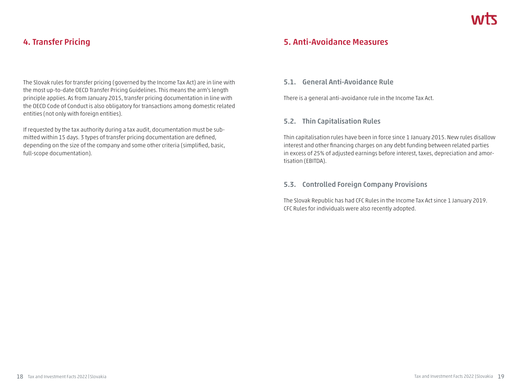# **4. Transfer Pricing**

The Slovak rules for transfer pricing (governed by the Income Tax Act) are in line with the most up-to-date OECD Transfer Pricing Guidelines. This means the arm's length principle applies. As from January 2015, transfer pricing documentation in line with the OECD Code of Conduct is also obligatory for transactions among domestic related entities (not only with foreign entities).

If requested by the tax authority during a tax audit, documentation must be submitted within 15 days. 3 types of transfer pricing documentation are defined, depending on the size of the company and some other criteria (simplified, basic, full-scope documentation).

# **5. Anti-Avoidance Measures**

## **5.1. General Anti-Avoidance Rule**

There is a general anti-avoidance rule in the Income Tax Act.

## **5.2. Thin Capitalisation Rules**

Thin capitalisation rules have been in force since 1 January 2015. New rules disallow interest and other financing charges on any debt funding between related parties in excess of 25% of adjusted earnings before interest, taxes, depreciation and amortisation (EBITDA).

## **5.3. Controlled Foreign Company Provisions**

The Slovak Republic has had CFC Rules in the Income Tax Act since 1 January 2019. CFC Rules for individuals were also recently adopted.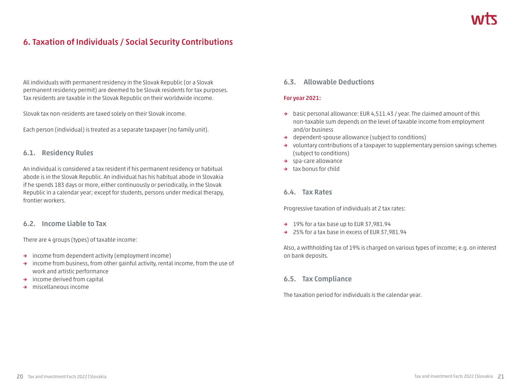# **6. Taxation of Individuals / Social Security Contributions**

All individuals with permanent residency in the Slovak Republic (or a Slovak permanent residency permit) are deemed to be Slovak residents for tax purposes. Tax residents are taxable in the Slovak Republic on their worldwide income.

Slovak tax non-residents are taxed solely on their Slovak income.

Each person (individual) is treated as a separate taxpayer (no family unit).

## **6.1. Residency Rules**

An individual is considered a tax resident if his permanent residency or habitual abode is in the Slovak Republic. An individual has his habitual abode in Slovakia if he spends 183 days or more, either continuously or periodically, in the Slovak Republic in a calendar year; except for students, persons under medical therapy, frontier workers.

## **6.2. Income Liable to Tax**

There are 4 groups (types) of taxable income:

- **→** income from dependent activity (employment income)
- **→** income from business, from other gainful activity, rental income, from the use of work and artistic performance
- **→** income derived from capital
- **→** miscellaneous income

## **6.3. Allowable Deductions**

#### **For year 2021:**

- **→** basic personal allowance: EUR 4,511.43 / year. The claimed amount of this non-taxable sum depends on the level of taxable income from employment and/or business
- **→** dependent-spouse allowance (subject to conditions)
- **→** voluntary contributions of a taxpayer to supplementary pension savings schemes (subject to conditions)
- **→** spa-care allowance
- **→** tax bonus for child

#### **6.4. Tax Rates**

Progressive taxation of individuals at 2 tax rates:

- **→** 19% for a tax base up to EUR 37,981.94
- **→** 25% for a tax base in excess of EUR 37,981.94

Also, a withholding tax of 19% is charged on various types of income; e.g. on interest on bank deposits.

## **6.5. Tax Compliance**

The taxation period for individuals is the calendar year.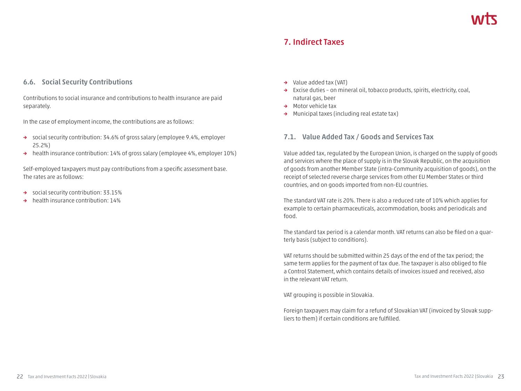# **7. Indirect Taxes**

#### **6.6. Social Security Contributions**

Contributions to social insurance and contributions to health insurance are paid separately.

In the case of employment income, the contributions are as follows:

- **→** social security contribution: 34.6% of gross salary (employee 9.4%, employer 25.2%)
- **→** health insurance contribution: 14% of gross salary (employee 4%, employer 10%)

Self-employed taxpayers must pay contributions from a specific assessment base. The rates are as follows:

- **→** social security contribution: 33.15%
- **→** health insurance contribution: 14%
- **→** Value added tax (VAT)
- **→** Excise duties on mineral oil, tobacco products, spirits, electricity, coal, natural gas, beer
- **→** Motor vehicle tax
- **→** Municipal taxes (including real estate tax)

#### **7.1. Value Added Tax / Goods and Services Tax**

Value added tax, regulated by the European Union, is charged on the supply of goods and services where the place of supply is in the Slovak Republic, on the acquisition of goods from another Member State (intra-Community acquisition of goods), on the receipt of selected reverse charge services from other EU Member States or third countries, and on goods imported from non-EU countries.

The standard VAT rate is 20%. There is also a reduced rate of 10% which applies for example to certain pharmaceuticals, accommodation, books and periodicals and food.

The standard tax period is a calendar month. VAT returns can also be filed on a quarterly basis (subject to conditions).

VAT returns should be submitted within 25 days of the end of the tax period; the same term applies for the payment of tax due. The taxpayer is also obliged to file a Control Statement, which contains details of invoices issued and received, also in the relevant VAT return.

VAT grouping is possible in Slovakia.

Foreign taxpayers may claim for a refund of Slovakian VAT (invoiced by Slovak suppliers to them) if certain conditions are fulfilled.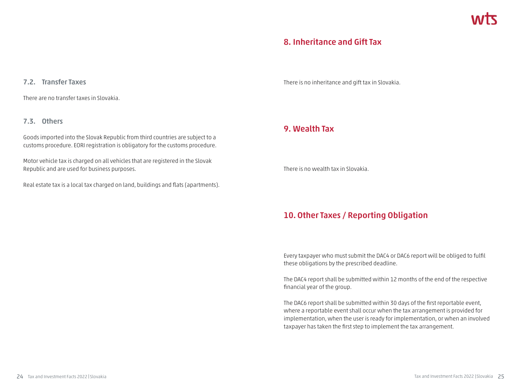# **8. Inheritance and Gift Tax**

#### **7.2. Transfer Taxes**

There are no transfer taxes in Slovakia.

#### **7.3. Others**

Goods imported into the Slovak Republic from third countries are subject to a customs procedure. EORI registration is obligatory for the customs procedure.

Motor vehicle tax is charged on all vehicles that are registered in the Slovak Republic and are used for business purposes.

Real estate tax is a local tax charged on land, buildings and flats (apartments).

There is no inheritance and gift tax in Slovakia.

# **9. Wealth Tax**

There is no wealth tax in Slovakia.

# **10. Other Taxes / Reporting Obligation**

Every taxpayer who must submit the DAC4 or DAC6 report will be obliged to fulfil these obligations by the prescribed deadline.

The DAC4 report shall be submitted within 12 months of the end of the respective financial year of the group.

The DAC6 report shall be submitted within 30 days of the first reportable event, where a reportable event shall occur when the tax arrangement is provided for implementation, when the user is ready for implementation, or when an involved taxpayer has taken the first step to implement the tax arrangement.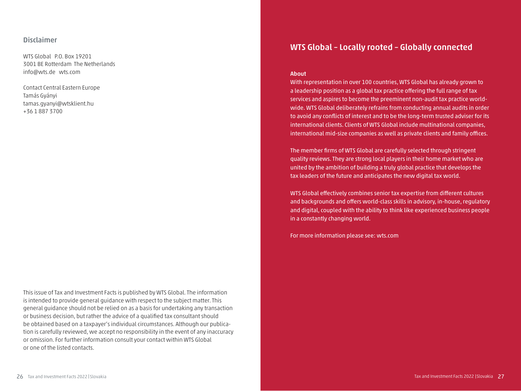#### **Disclaimer**

WTS Global P.O. Box 19201 3001 BE Rotterdam The Netherlands info@wts.de wts.com

Contact Central Eastern Europe Tamás Gyányi tamas.gyanyi@wtsklient.hu +36 1 887 3700

This issue of Tax and Investment Facts is published by WTS Global. The information is intended to provide general guidance with respect to the subject matter. This general guidance should not be relied on as a basis for undertaking any transaction or business decision, but rather the advice of a qualified tax consultant should be obtained based on a taxpayer's individual circumstances. Although our publication is carefully reviewed, we accept no responsibility in the event of any inaccuracy or omission. For further information consult your contact within WTS Global or one of the listed contacts.

# **WTS Global – Locally rooted – Globally connected**

#### **About**

With representation in over 100 countries, WTS Global has already grown to a leadership position as a global tax practice offering the full range of tax services and aspires to become the preeminent non-audit tax practice worldwide. WTS Global deliberately refrains from conducting annual audits in order to avoid any conflicts of interest and to be the long-term trusted adviser for its international clients. Clients of WTS Global include multinational companies, international mid-size companies as well as private clients and family offices.

The member firms of WTS Global are carefully selected through stringent quality reviews. They are strong local players in their home market who are united by the ambition of building a truly global practice that develops the tax leaders of the future and anticipates the new digital tax world.

WTS Global effectively combines senior tax expertise from different cultures and backgrounds and offers world-class skills in advisory, in-house, regulatory and digital, coupled with the ability to think like experienced business people in a constantly changing world.

For more information please see: wts.com